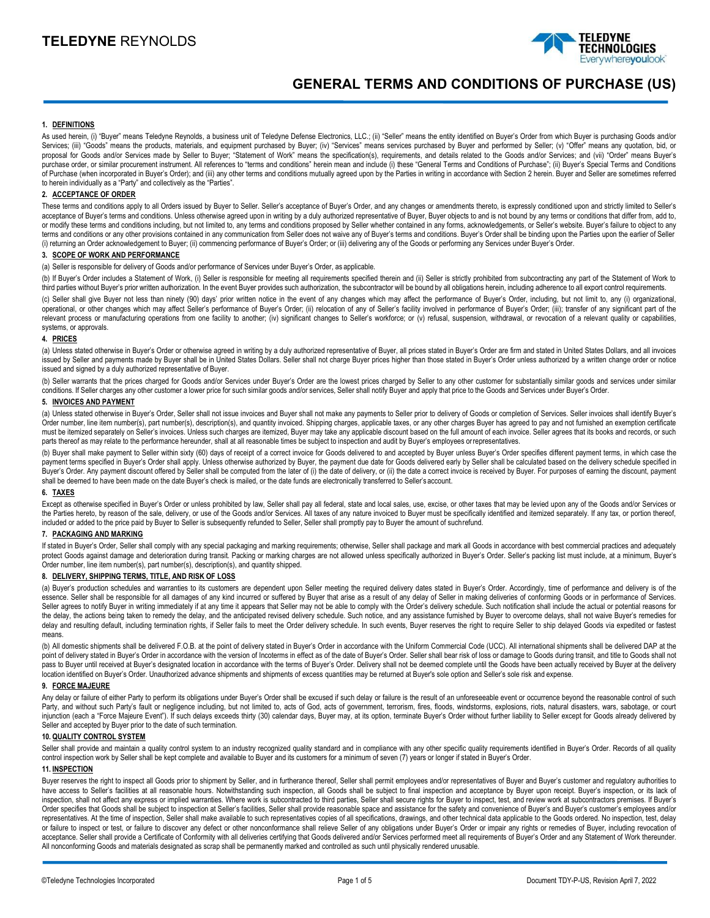

# **GENERAL TERMS AND CONDITIONS OF PURCHASE (US)**

#### **1. DEFINITIONS**

As used herein, (i) "Buyer" means Teledyne Reynolds, a business unit of Teledyne Defense Electronics, LLC.; (ii) "Seller" means the entity identified on Buyer's Order from which Buyer is purchasing Goods and/or Services; (iii) "Goods" means the products, materials, and equipment purchased by Buyer; (iv) "Services" means services purchased by Buyer and performed by Seller; (v) "Offer" means any quotation, bid, or proposal for Goods and/or Services made by Seller to Buyer; "Statement of Work" means the specification(s), requirements, and details related to the Goods and/or Services; and (vii) "Order" means Buyer's purchase order, or similar procurement instrument. All references to "terms and conditions" herein mean and include (i) these "General Terms and Conditions of Purchase"; (ii) Buyer's Special Terms and Conditions of Purchase (when incorporated in Buyer's Order); and (iii) any other terms and conditions mutually agreed upon by the Parties in writing in accordance with Section 2 herein. Buyer and Seller are sometimes referred to herein individually as a "Party" and collectively as the "Parties".

## **2. ACCEPTANCE OF ORDER**

These terms and conditions apply to all Orders issued by Buyer to Seller's acceptance of Buyer's Order, and any changes or amendments thereto, is expressly conditioned upon and strictly limited to Seller's acceptance of Buyer's terms and conditions. Unless otherwise agreed upon in writing by a duly authorized representative of Buyer, Buyer objects to and is not bound by any terms or conditions that differ from, add to, or modify these terms and conditions including, but not limited to, any terms and conditions proposed by Seller whether contained in any forms, acknowledgements, or Seller's website. Buyer's failure to object to any terms and conditions or any other provisions contained in any communication from Seller does not waive any of Buyer's terms and conditions. Buyer's Order shall be binding upon the Parties upon the earlier of Seller (i) returning an Order acknowledgement to Buyer; (ii) commencing performance of Buyer's Order; or (iii) delivering any of the Goods or performing any Services under Buyer's Order.

## **3. SCOPE OF WORK AND PERFORMANCE**

(a) Seller is responsible for delivery of Goods and/or performance of Services under Buyer's Order, as applicable.

(b) If Buyer's Order includes a Statement of Work, (i) Seller is responsible for meeting all requirements specified therein and (ii) Seller is strictly prohibited from subcontracting any part of the Statement of Work to third parties without Buyer's prior written authorization. In the event Buyer provides such authorization, the subcontractor will be bound by all obligations herein, including adherence to all export control requirements.

(c) Seller shall give Buyer not less than ninety (90) days' prior written notice in the event of any changes which may affect the performance of Buyer's Order, including, but not limit to, any (i) organizational, operational, or other changes which may affect Seller's performance of Buyer's Order; (ii) relocation of any of Seller's facility involved in performance of Buyer's Order; (iii); transfer of any significant part of the relevant process or manufacturing operations from one facility to another; (iv) significant changes to Seller's workforce; or (v) refusal, suspension, withdrawal, or revocation of a relevant quality or capabilities, systems, or approvals.

#### **4. PRICES**

(a) Unless stated otherwise in Buyer's Order or otherwise agreed in writing by a duly authorized representative of Buyer, all prices stated in Buyer's Order are firm and stated in United States Dollars, and all invoices issued by Seller and payments made by Buyer shall be in United States Dollars. Seller shall not charge Buyer prices higher than those stated in Buyer's Order unless authorized by a written change order or notice issued and signed by a duly authorized representative of Buyer.

(b) Seller warrants that the prices charged for Goods and/or Services under Buyer's Order are the lowest prices charged by Seller to any other customer for substantially similar goods and services under similar conditions. If Seller charges any other customer a lower price for such similar goods and/or services, Seller shall notify Buyer and apply that price to the Goods and Services under Buyer's Order.

#### **5. INVOICES AND PAYMENT**

(a) Unless stated otherwise in Buyer's Order, Seller shall not issue invoices and Buyer shall not make any payments to Seller prior to delivery of Goods or completion of Services. Seller invoices shall identify Buyer's Order number, line item number(s), part number(s), description(s), and quantity invoiced. Shipping charges, applicable taxes, or any other charges Buyer has agreed to pay and not furnished an exemption certificate must be itemized separately on Seller's invoices. Unless such charges are itemized, Buyer may take any applicable discount based on the full amount of each invoice. Seller agrees that its books and records, or such parts thereof as may relate to the performance hereunder, shall at all reasonable times be subject to inspection and audit by Buyer's employees orrepresentatives.

(b) Buyer shall make payment to Seller within sixty (60) days of receipt of a correct invoice for Goods delivered to and accepted by Buyer unless Buyer's Order specifies different payment terms, in which case the payment terms specified in Buyer's Order shall apply. Unless otherwise authorized by Buyer, the payment due date for Goods delivered early by Seller shall be calculated based on the delivery schedule specified in Buyer's Order. Any payment discount offered by Seller shall be computed from the later of (i) the date of delivery, or (ii) the date a correct invoice is received by Buyer. For purposes of earning the discount, payment shall be deemed to have been made on the date Buyer's check is mailed, or the date funds are electronically transferred to Seller's account.

#### **6. TAXES**

Except as otherwise specified in Buyer's Order or unless prohibited by law, Seller shall pay all federal, state and local sales, use, excise, or other taxes that may be levied upon any of the Goods and/or Services or the Parties hereto, by reason of the sale, delivery, or use of the Goods and/or Services. All taxes of any nature invoiced to Buyer must be specifically identified and itemized separately. If any tax, or portion thereof, included or added to the price paid by Buyer to Seller is subsequently refunded to Seller, Seller shall promptly pay to Buyer the amount of suchrefund.

## **7. PACKAGING AND MARKING**

If stated in Buyer's Order, Seller shall comply with any special packaging and marking requirements; otherwise, Seller shall package and mark all Goods in accordance with best commercial practices and adequately protect Goods against damage and deterioration during transit. Packing or marking charges are not allowed unless specifically authorized in Buyer's Order. Seller's packing list must include, at a minimum, Buyer's Order number, line item number(s), part number(s), description(s), and quantity shipped.

## **8. DELIVERY, SHIPPING TERMS, TITLE, AND RISK OF LOSS**

(a) Buyer's production schedules and warranties to its customers are dependent upon Seller meeting the required delivery dates stated in Buyer's Order. Accordingly, time of performance and delivery is of the essence. Seller shall be responsible for all damages of any kind incurred or suffered by Buyer that arise as a result of any delay of Seller in making deliveries of conforming Goods or in performance of Services. Seller agrees to notify Buyer in writing immediately if at any time it appears that Seller may not be able to comply with the Order's delivery schedule. Such notification shall include the actual or potential reasons for the delay, the actions being taken to remedy the delay, and the anticipated revised delivery schedule. Such notice, and any assistance furnished by Buyer to overcome delays, shall not waive Buyer's remedies for delay and resulting default, including termination rights, if Seller fails to meet the Order delivery schedule. In such events, Buyer reserves the right to require Seller to ship delayed Goods via expedited or fastest means.

(b) All domestic shipments shall be delivered F.O.B. at the point of delivery stated in Buyer's Order in accordance with the Uniform Commercial Code (UCC). All international shipments shall be delivered DAP at the point of delivery stated in Buyer's Order in accordance with the version of Incoterms in effect as of the date of Buyer's Order. Seller shall bear risk of loss or damage to Goods during transit, and title to Goods shall no pass to Buyer until received at Buyer's designated location in accordance with the terms of Buyer's Order. Delivery shall not be deemed complete until the Goods have been actually received by Buyer at the delivery location identified on Buyer's Order. Unauthorized advance shipments and shipments of excess quantities may be returned at Buyer's sole option and Seller's sole risk and expense.

#### **9. FORCE MAJEURE**

Any delay or failure of either Party to perform its obligations under Buyer's Order shall be excused if such delay or failure is the result of an unforeseeable event or occurrence beyond the reasonable control of such Party, and without such Party's fault or negligence including, but not limited to, acts of God, acts of government, terrorism, fires, floods, windstorms, explosions, riots, natural disasters, wars, sabotage, or court injunction (each a "Force Majeure Event"). If such delays exceeds thirty (30) calendar days, Buyer may, at its option, terminate Buyer's Order without further liability to Seller except for Goods already delivered by Seller and accepted by Buyer prior to the date of such termination.

#### **10. QUALITY CONTROL SYSTEM**

Seller shall provide and maintain a quality control system to an industry recognized quality standard and in compliance with any other specific quality requirements identified in Buyer's Order. Records of all quality control inspection work by Seller shall be kept complete and available to Buyer and its customers for a minimum of seven (7) years or longer if stated in Buyer's Order.

#### **11. INSPECTION**

Buyer reserves the right to inspect all Goods prior to shipment by Seller, and in furtherance thereof, Seller shall permit employees and/or representatives of Buyer and Buyer's customer and regulatory authorities to have access to Seller's facilities at all reasonable hours. Notwithstanding such inspection, all Goods shall be subject to final inspection and acceptance by Buyer upon receipt. Buyer's inspection, or its lack of inspection, shall not affect any express or implied warranties. Where work is subcontracted to third parties, Seller shall secure rights for Buyer to inspect, test, and review work at subcontractors premises. If Buyer's Order specifies that Goods shall be subject to inspection at Seller's facilities, Seller shall provide reasonable space and assistance for the safety and convenience of Buyer's and Buyer's customer's employees and/or representatives. At the time of inspection, Seller shall make available to such representatives copies of all specifications, drawings, and other technical data applicable to the Goods ordered. No inspection, test, delay or failure to inspect or test, or failure to discover any defect or other nonconformance shall relieve Seller of any obligations under Buyer's Order or impair any rights or remedies of Buyer, including revocation of acceptance. Seller shall provide a Certificate of Conformity with all deliveries certifying that Goods delivered and/or Services performed meet all requirements of Buyer's Order and any Statement of Work thereunder. All nonconforming Goods and materials designated as scrap shall be permanently marked and controlled as such until physically rendered unusable.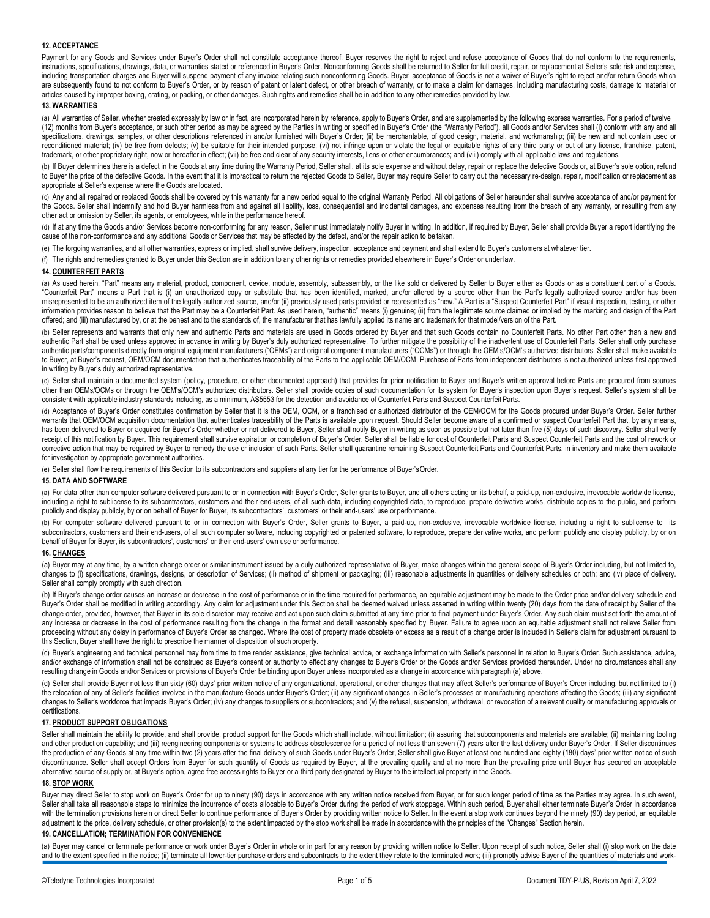## **12. ACCEPTANCE**

Payment for any Goods and Services under Buyer's Order shall not constitute acceptance thereof. Buyer reserves the right to reject and refuse acceptance of Goods that do not conform to the requirements, instructions, specifications, drawings, data, or warranties stated or referenced in Buyer's Order. Nonconforming Goods shall be returned to Seller for full credit, repair, or replacement at Seller's sole risk and expense, including transportation charges and Buyer will suspend payment of any invoice relating such nonconforming Goods. Buyer' acceptance of Goods is not a waiver of Buyer's right to reject and/or return Goods which are subsequently found to not conform to Buyer's Order, or by reason of patent or latent defect, or other breach of warranty, or to make a claim for damages, including manufacturing costs, damage to material or articles caused by improper boxing, crating, or packing, or other damages. Such rights and remedies shall be in addition to any other remedies provided by law.

#### **13. WARRANTIES**

(a) All warranties of Seller, whether created expressly by law or in fact, are incorporated herein by reference, apply to Buyer's Order, and are supplemented by the following express warranties. For a period of twelve (12) months from Buyer's acceptance, or such other period as may be agreed by the Parties in writing or specified in Buyer's Order (the "Warranty Period"), all Goods and/or Services shall (i) conform with any and all specifications, drawings, samples, or other descriptions referenced in and/or furnished with Buyer's Order; (ii) be merchantable, of good design, material, and workmanship; (iii) be new and not contain used or reconditioned material; (iv) be free from defects; (v) be suitable for their intended purpose; (vi) not infringe upon or violate the legal or equitable rights of any third party or out of any license, franchise, patent, trademark, or other proprietary right, now or hereafter in effect; (vii) be free and clear of any security interests, liens or other encumbrances; and (viii) comply with all applicable laws and regulations.

(b) If Buyer determines there is a defect in the Goods at any time during the Warranty Period, Seller shall, at its sole expense and without delay, repair or replace the defective Goods or, at Buyer's sole option, refund to Buyer the price of the defective Goods. In the event that it is impractical to return the rejected Goods to Seller, Buyer may require Seller to carry out the necessary re-design, repair, modification or replacement as appropriate at Seller's expense where the Goods are located.

(c) Any and all repaired or replaced Goods shall be covered by this warranty for a new period equal to the original Warranty Period. All obligations of Seller hereunder shall survive acceptance of and/or payment for the Goods. Seller shall indemnify and hold Buyer harmless from and against all liability, loss, consequential and incidental damages, and expenses resulting from the breach of any warranty, or resulting from any other act or omission by Seller, its agents, or employees, while in the performance hereof.

(d) If at any time the Goods and/or Services become non-conforming for any reason, Seller must immediately notify Buyer in writing. In addition, if required by Buyer, Seller shall provide Buyer a report identifying the cause of the non-conformance and any additional Goods or Services that may be affected by the defect, and/or the repair action to be taken.

(e) The forgoing warranties, and all other warranties, express or implied, shall survive delivery, inspection, acceptance and payment and shall extend to Buyer's customers at whatever tier.

(f) The rights and remedies granted to Buyer under this Section are in addition to any other rights or remedies provided elsewhere in Buyer's Order or underlaw.

## **14. COUNTERFEIT PARTS**

(a) As used herein, "Part" means any material, product, component, device, module, assembly, subassembly, or the like sold or delivered by Seller to Buyer either as Goods or as a constituent part of a Goods. "Counterfeit Part" means a Part that is (i) an unauthorized copy or substitute that has been identified, marked, and/or altered by a source other than the Part's legally authorized source and/or has been misrepresented to be an authorized item of the legally authorized source, and/or (ii) previously used parts provided or represented as "new." A Part is a "Suspect Counterfeit Part" if visual inspection, testing, or other information provides reason to believe that the Part may be a Counterfeit Part. As used herein, "authentic" means (i) genuine; (ii) from the legitimate source claimed or implied by the marking and design of the Part offered; and (iii) manufactured by, or at the behest and to the standards of, the manufacturer that has lawfully applied its name and trademark for that model/version of the Part.

(b) Seller represents and warrants that only new and authentic Parts and materials are used in Goods ordered by Buyer and that such Goods contain no Counterfeit Parts. No other Part other than a new and authentic Part shall be used unless approved in advance in writing by Buyer's duly authorized representative. To further mitigate the possibility of the inadvertent use of Counterfeit Parts, Seller shall only purchase authentic parts/components directly from original equipment manufacturers ("OEMs") and original component manufacturers ("OCMs") or through the OEM's/OCM's authorized distributors. Seller shall make available to Buyer, at Buyer's request, OEM/OCM documentation that authenticates traceability of the Parts to the applicable OEM/OCM. Purchase of Parts from independent distributors is not authorized unless first approved in writing by Buyer's duly authorized representative.

(c) Seller shall maintain a documented system (policy, procedure, or other documented approach) that provides for prior notification to Buyer and Buyer's written approval before Parts are procured from sources other than OEMs/OCMs or through the OEM's/OCM's authorized distributors. Seller shall provide copies of such documentation for its system for Buyer's inspection upon Buyer's request. Seller's system shall be consistent with applicable industry standards including, as a minimum, AS5553 for the detection and avoidance of Counterfeit Parts and Suspect Counterfeit Parts.

(d) Acceptance of Buyer's Order constitutes confirmation by Seller that it is the OEM, OCM, or a franchised or authorized distributor of the OEM/OCM for the Goods procured under Buyer's Order. Seller further warrants that OEM/OCM acquisition documentation that authenticates traceability of the Parts is available upon request. Should Seller become aware of a confirmed or suspect Counterfeit Part that, by any means, has been delivered to Buyer or acquired for Buyer's Order whether or not delivered to Buyer, Seller shall notify Buyer in writing as soon as possible but not later than five (5) days of such discovery. Seller shall verify receipt of this notification by Buyer. This requirement shall survive expiration or completion of Buyer's Order. Seller shall be liable for cost of Counterfeit Parts and Suspect Counterfeit Parts and the cost of rework or corrective action that may be required by Buyer to remedy the use or inclusion of such Parts. Seller shall quarantine remaining Suspect Counterfeit Parts and Counterfeit Parts, in inventory and make them available for investigation by appropriate government authorities.

(e) Seller shall flow the requirements of this Section to its subcontractors and suppliers at any tier for the performance of Buyer'sOrder.

#### **15. DATA AND SOFTWARE**

(a) For data other than computer software delivered pursuant to or in connection with Buyer's Order, Seller grants to Buyer, and all others acting on its behalf, a paid-up, non-exclusive, irrevocable worldwide license, including a right to sublicense to its subcontractors, customers and their end-users, of all such data, including copyrighted data, to reproduce, prepare derivative works, distribute copies to the public, and perform publicly and display publicly, by or on behalf of Buyer for Buyer, its subcontractors', customers' or their end-users' use or performance.

(b) For computer software delivered pursuant to or in connection with Buyer's Order, Seller grants to Buyer, a paid-up, non-exclusive, irrevocable worldwide license, including a right to sublicense to its subcontractors, customers and their end-users, of all such computer software, including copyrighted or patented software, to reproduce, prepare derivative works, and perform publicly and display publicly, by or on behalf of Buyer for Buyer, its subcontractors', customers' or their end-users' own use or performance.

#### **16. CHANGES**

(a) Buyer may at any time, by a written change order or similar instrument issued by a duly authorized representative of Buyer, make changes within the general scope of Buyer's Order including, but not limited to, changes to (i) specifications, drawings, designs, or description of Services; (ii) method of shipment or packaging; (iii) reasonable adjustments in quantities or delivery schedules or both; and (iv) place of delivery. Seller shall comply promptly with such direction.

(b) If Buyer's change order causes an increase or decrease in the cost of performance or in the time required for performance, an equitable adjustment may be made to the Order price and/or delivery schedule and Buyer's Order shall be modified in writing accordingly. Any claim for adjustment under this Section shall be deemed waived unless asserted in writing within twenty (20) days from the date of receipt by Seller of the change order, provided, however, that Buyer in its sole discretion may receive and act upon such claim submitted at any time prior to final payment under Buyer's Order. Any such claim must set forth the amount of any increase or decrease in the cost of performance resulting from the change in the format and detail reasonably specified by Buyer. Failure to agree upon an equitable adjustment shall not relieve Seller from proceeding without any delay in performance of Buyer's Order as changed. Where the cost of property made obsolete or excess as a result of a change order is included in Seller's claim for adjustment pursuant to this Section, Buyer shall have the right to prescribe the manner of disposition of such property.

(c) Buyer's engineering and technical personnel may from time to time render assistance, give technical advice, or exchange information with Seller's personnel in relation to Buyer's Order. Such assistance, advice, and/or exchange of information shall not be construed as Buyer's consent or authority to effect any changes to Buyer's Order or the Goods and/or Services provided thereunder. Under no circumstances shall any resulting change in Goods and/or Services or provisions of Buyer's Order be binding upon Buyer unless incorporated as a change in accordance with paragraph (a) above.

(d) Seller shall provide Buyer not less than sixty (60) days' prior written notice of any organizational, operational, or other changes that may affect Seller's performance of Buyer's Order including, but not limited to (i the relocation of any of Seller's facilities involved in the manufacture Goods under Buyer's Order; (ii) any significant changes in Seller's processes or manufacturing operations affecting the Goods; (iii) any significant changes to Seller's workforce that impacts Buyer's Order; (iv) any changes to suppliers or subcontractors; and (v) the refusal, suspension, withdrawal, or revocation of a relevant quality or manufacturing approvals or certifications.

#### **17. PRODUCT SUPPORT OBLIGATIONS**

Seller shall maintain the ability to provide, and shall provide, product support for the Goods which shall include, without limitation; (i) assuring that subcomponents and materials are available; (ii) maintaining tooling and other production capability; and (iii) reengineering components or systems to address obsolescence for a period of not less than seven (7) years after the last delivery under Buyer's Order. If Seller discontinues the production of any Goods at any time within two (2) years after the final delivery of such Goods under Buyer's Order, Seller shall give Buyer at least one hundred and eighty (180) days' prior written notice of such discontinuance. Seller shall accept Orders from Buyer for such quantity of Goods as required by Buyer, at the prevailing quality and at no more than the prevailing price until Buyer has secured an acceptable alternative source of supply or, at Buyer's option, agree free access rights to Buyer or a third party designated by Buyer to the intellectual property in the Goods.

#### **18. STOP WORK**

Buyer may direct Seller to stop work on Buyer's Order for up to ninety (90) days in accordance with any written notice received from Buyer, or for such longer period of time as the Parties may agree. In such event, Seller shall take all reasonable steps to minimize the incurrence of costs allocable to Buyer's Order during the period of work stoppage. Within such period, Buyer shall either terminate Buyer's Order in accordance with the termination provisions herein or direct Seller to continue performance of Buyer's Order by providing written notice to Seller. In the event a stop work continues beyond the ninety (90) day period, an equitable adjustment to the price, delivery schedule, or other provision(s) to the extent impacted by the stop work shall be made in accordance with the principles of the "Changes" Section herein.

#### **19. CANCELLATION; TERMINATION FOR CONVENIENCE**

(a) Buyer may cancel or terminate performance or work under Buyer's Order in whole or in part for any reason by providing written notice to Seller. Upon receipt of such notice, Seller shall (i) stop work on the date and to the extent specified in the notice; (ii) terminate all lower-tier purchase orders and subcontracts to the extent they relate to the terminated work; (iii) promptly advise Buyer of the quantities of materials and wor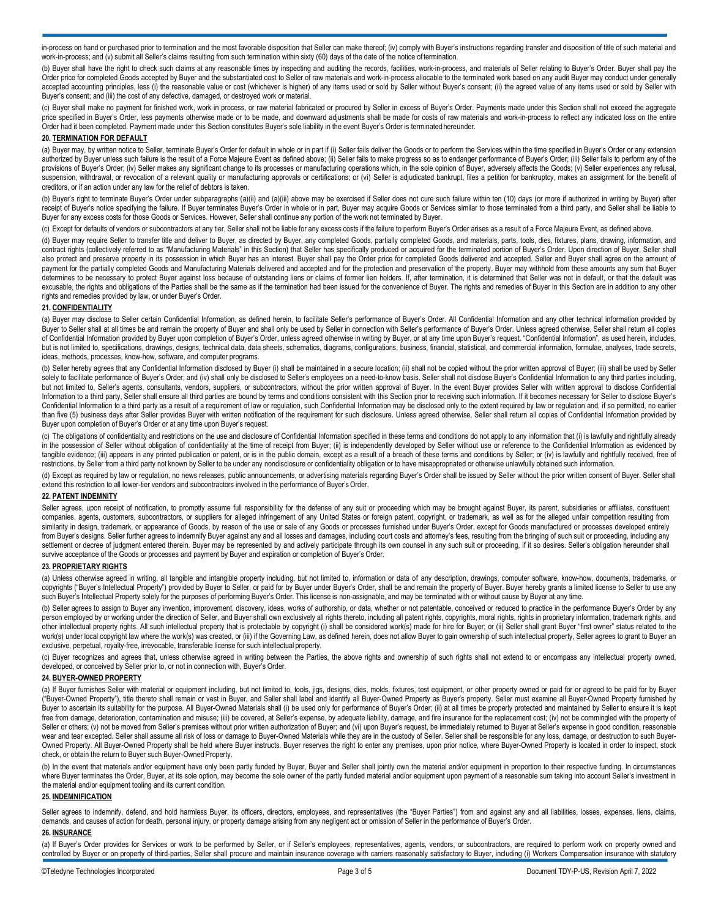in-process on hand or purchased prior to termination and the most favorable disposition that Seller can make thereof; (iv) comply with Buyer's instructions regarding transfer and disposition of title of such material and work-in-process; and (v) submit all Seller's claims resulting from such termination within sixty (60) days of the date of the notice of termination.

(b) Buyer shall have the right to check such claims at any reasonable times by inspecting and auditing the records, facilities, work-in-process, and materials of Seller relating to Buyer's Order. Buyer shall pay the Order price for completed Goods accepted by Buyer and the substantiated cost to Seller of raw materials and work-in-process allocable to the terminated work based on any audit Buyer may conduct under generally accepted accounting principles, less (i) the reasonable value or cost (whichever is higher) of any items used or sold by Seller without Buyer's consent; (ii) the agreed value of any items used or sold by Seller with Buyer's consent; and (iii) the cost of any defective, damaged, or destroyed work or material.

(c) Buyer shall make no payment for finished work, work in process, or raw material fabricated or procured by Seller in excess of Buyer's Order. Payments made under this Section shall not exceed the aggregate price specified in Buyer's Order, less payments otherwise made or to be made, and downward adjustments shall be made for costs of raw materials and work-in-process to reflect any indicated loss on the entire Order had it been completed. Payment made under this Section constitutes Buyer's sole liability in the event Buyer's Order is terminated hereunder.

#### **20. TERMINATION FOR DEFAULT**

(a) Buyer may, by written notice to Seller, terminate Buyer's Order for default in whole or in part if (i) Seller fails deliver the Goods or to perform the Services within the time specified in Buyer's Order or any extensi authorized by Buyer unless such failure is the result of a Force Majeure Event as defined above; (ii) Seller fails to make progress so as to endanger performance of Buyer's Order; (iii) Seller fails to perform any of the provisions of Buyer's Order; (iv) Seller makes any significant change to its processes or manufacturing operations which, in the sole opinion of Buyer, adversely affects the Goods; (v) Seller experiences any refusal, suspension, withdrawal, or revocation of a relevant quality or manufacturing approvals or certifications; or (vi) Seller is adjudicated bankrupt, files a petition for bankruptcy, makes an assignment for the benefit of creditors, or if an action under any law for the relief of debtors is taken.

(b) Buyer's right to terminate Buyer's Order under subparagraphs (a)(ii) and (a)(iii) above may be exercised if Seller does not cure such failure within ten (10) days (or more if authorized in writing by Buyer) after receipt of Buyer's notice specifying the failure. If Buyer terminates Buyer's Order in whole or in part, Buyer may acquire Goods or Services similar to those terminated from a third party, and Seller shall be liable to Buyer for any excess costs for those Goods or Services. However, Seller shall continue any portion of the work not terminated by Buyer.

(c) Except for defaults of vendors or subcontractors at any tier, Seller shall not be liable for any excess costs if the failure to perform Buyer's Order arises as a result of a Force Majeure Event, as defined above.

(d) Buyer may require Seller to transfer title and deliver to Buyer, as directed by Buyer, any completed Goods, partially completed Goods, and materials, parts, tools, dies, fixtures, plans, drawing, information, and contract rights (collectively referred to as "Manufacturing Materials" in this Section) that Seller has specifically produced or acquired for the terminated portion of Buyer's Order. Upon direction of Buyer, Seller shall also protect and preserve property in its possession in which Buyer has an interest. Buyer shall pay the Order price for completed Goods delivered and accepted. Seller and Buyer shall agree on the amount of payment for the partially completed Goods and Manufacturing Materials delivered and accepted and for the protection and preservation of the property. Buyer may withhold from these amounts any sum that Buyer determines to be necessary to protect Buyer against loss because of outstanding liens or claims of former lien holders. If, after termination, it is determined that Seller was not in default, or that the default was excusable, the rights and obligations of the Parties shall be the same as if the termination had been issued for the convenience of Buyer. The rights and remedies of Buyer in this Section are in addition to any other rights and remedies provided by law, or under Buyer's Order.

#### **21. CONFIDENTIALITY**

(a) Buyer may disclose to Seller certain Confidential Information, as defined herein, to facilitate Seller's performance of Buyer's Order. All Confidential Information and any other technical information provided by Buyer to Seller shall at all times be and remain the property of Buyer and shall only be used by Seller in connection with Seller's performance of Buyer's Order. Unless agreed otherwise, Seller shall return all copies of Confidential Information provided by Buyer upon completion of Buyer's Order, unless agreed otherwise in writing by Buyer, or at any time upon Buyer's request. "Confidential Information", as used herein, includes, but is not limited to, specifications, drawings, designs, technical data, data sheets, schematics, diagrams, configurations, business, financial, statistical, and commercial information, formulae, analyses, trade secrets, ideas, methods, processes, know-how, software, and computer programs.

(b) Seller hereby agrees that any Confidential Information disclosed by Buyer (i) shall be maintained in a secure location; (ii) shall not be copied without the prior written approval of Buyer; (iii) shall be used by Seller solely to facilitate performance of Buyer's Order; and (iv) shall only be disclosed to Seller's employees on a need-to-know basis. Seller shall not disclose Buyer's Confidential Information to any third parties including, but not limited to, Seller's agents, consultants, vendors, suppliers, or subcontractors, without the prior written approval of Buyer. In the event Buyer provides Seller with written approval to disclose Confidential Information to a third party, Seller shall ensure all third parties are bound by terms and conditions consistent with this Section prior to receiving such information. If it becomes necessary for Seller to disclose Buyer's Confidential Information to a third party as a result of a requirement of law or regulation, such Confidential Information may be disclosed only to the extent required by law or regulation and, if so permitted, no earlier than five (5) business days after Seller provides Buyer with written notification of the requirement for such disclosure. Unless agreed otherwise, Seller shall return all copies of Confidential Information provided by Buyer upon completion of Buyer's Order or at any time upon Buyer's request.

(c) The obligations of confidentiality and restrictions on the use and disclosure of Confidential Information specified in these terms and conditions do not apply to any information that (i) is lawfully and rightfully alre in the possession of Seller without obligation of confidentiality at the time of receipt from Buyer; (ii) is independently developed by Seller without use or reference to the Confidential Information as evidenced by tangible evidence; (iii) appears in any printed publication or patent, or is in the public domain, except as a result of a breach of these terms and conditions by Seller; or (iv) is lawfully and rightfully received, free of restrictions, by Seller from a third party not known by Seller to be under any nondisclosure or confidentiality obligation or to have misappropriated or otherwise unlawfully obtained such information.

(d) Except as required by law or requlation, no news releases, public announcements, or advertising materials regarding Buyer's Order shall be issued by Seller without the prior written consent of Buyer. Seller shall extend this restriction to all lower-tier vendors and subcontractors involved in the performance of Buyer's Order.

## **22. PATENT INDEMNITY**

Seller agrees, upon receipt of notification, to promptly assume full responsibility for the defense of any suit or proceeding which may be brought against Buyer, its parent, subsidiaries or affiliates, constituent companies, agents, customers, subcontractors, or suppliers for alleged infringement of any United States or foreign patent, copyright, or trademark, as well as for the alleged unfair competition resulting from similarity in design, trademark, or appearance of Goods, by reason of the use or sale of any Goods or processes furnished under Buyer's Order, except for Goods manufactured or processes developed entirely from Buyer's designs. Seller further agrees to indemnify Buyer against any and all losses and damages, including court costs and attorney's fees, resulting from the bringing of such suit or proceeding, including any settlement or decree of judgment entered therein. Buyer may be represented by and actively participate through its own counsel in any such suit or proceeding, if it so desires. Seller's obligation hereunder shall survive acceptance of the Goods or processes and payment by Buyer and expiration or completion of Buyer's Order.

#### **23. PROPRIETARY RIGHTS**

(a) Unless otherwise agreed in writing, all tangible and intangible property including, but not limited to, information or data of any description, drawings, computer software, know-how, documents, trademarks, or copyrights ("Buyer's Intellectual Property") provided by Buyer to Seller, or paid for by Buyer under Buyer's Order, shall be and remain the property of Buyer. Buyer hereby grants a limited license to Seller to use any such Buyer's Intellectual Property solely for the purposes of performing Buyer's Order. This license is non-assignable, and may be terminated with or without cause by Buyer at any time.

(b) Seller agrees to assign to Buyer any invention, improvement, discovery, ideas, works of authorship, or data, whether or not patentable, conceived or reduced to practice in the performance Buyer's Order by any person employed by or working under the direction of Seller, and Buyer shall own exclusively all rights thereto, including all patent rights, copyrights, moral rights, rights in proprietary information, trademark rights, a other intellectual property rights. All such intellectual property that is protectable by copyright (i) shall be considered work(s) made for hire for Buyer; or (ii) Seller shall grant Buyer "first owner" status related to work(s) under local copyright law where the work(s) was created, or (iii) if the Governing Law, as defined herein, does not allow Buyer to gain ownership of such intellectual property, Seller agrees to grant to Buyer an exclusive, perpetual, royalty-free, irrevocable, transferable license for such intellectual property.

(c) Buyer recognizes and agrees that, unless otherwise agreed in writing between the Parties, the above rights and ownership of such rights shall not extend to or encompass any intellectual property owned, developed, or conceived by Seller prior to, or not in connection with, Buyer's Order.

#### **24. BUYER-OWNED PROPERTY**

(a) If Buyer furnishes Seller with material or equipment including, but not limited to, tools, jigs, designs, dies, molds, fixtures, test equipment, or other property owned or paid for or agreed to be paid for by Buyer<br>("B Buyer to ascertain its suitability for the purpose. All Buyer-Owned Materials shall (i) be used only for performance of Buyer's Order; (ii) at all times be properly protected and maintained by Seller to ensure it is kept free from damage, deterioration, contamination and misuse; (iii) be covered, at Seller's expense, by adequate liability, damage, and fire insurance for the replacement cost; (iv) not be commingled with the property of Seller or others; (v) not be moved from Seller's premises without prior written authorization of Buyer; and (vi) upon Buyer's request, be immediately returned to Buyer at Seller's expense in good condition, reasonable wear and tear excepted. Seller shall assume all risk of loss or damage to Buyer-Owned Materials while they are in the custody of Seller. Seller shall be responsible for any loss, damage, or destruction to such Buyer-Owned Property. All Buyer-Owned Property shall be held where Buyer instructs. Buyer reserves the right to enter any premises, upon prior notice, where Buyer-Owned Property is located in order to inspect, stock check, or obtain the return to Buyer such Buyer-Owned Property.

(b) In the event that materials and/or equipment have only been partly funded by Buyer, Buyer and Seller shall jointly own the material and/or equipment in proportion to their respective funding. In circumstances where Buyer terminates the Order, Buyer, at its sole option, may become the sole owner of the partly funded material and/or equipment upon payment of a reasonable sum taking into account Seller's investment in the material and/or equipment tooling and its current condition.

## **25. INDEMNIFICATION**

Seller agrees to indemnify, defend, and hold harmless Buyer, its officers, directors, employees, and representatives (the "Buyer Parties") from and against any and all liabilities, losses, expenses, liens, claims, demands, and causes of action for death, personal injury, or property damage arising from any negligent act or omission of Seller in the performance of Buyer's Order.

#### **26. INSURANCE**

(a) If Buyer's Order provides for Services or work to be performed by Seller, or if Seller's employees, representatives, agents, vendors, or subcontractors, are required to perform work on property owned and controlled by Buyer or on property of third-parties, Seller shall procure and maintain insurance coverage with carriers reasonably satisfactory to Buyer, including (i) Workers Compensation insurance with statutory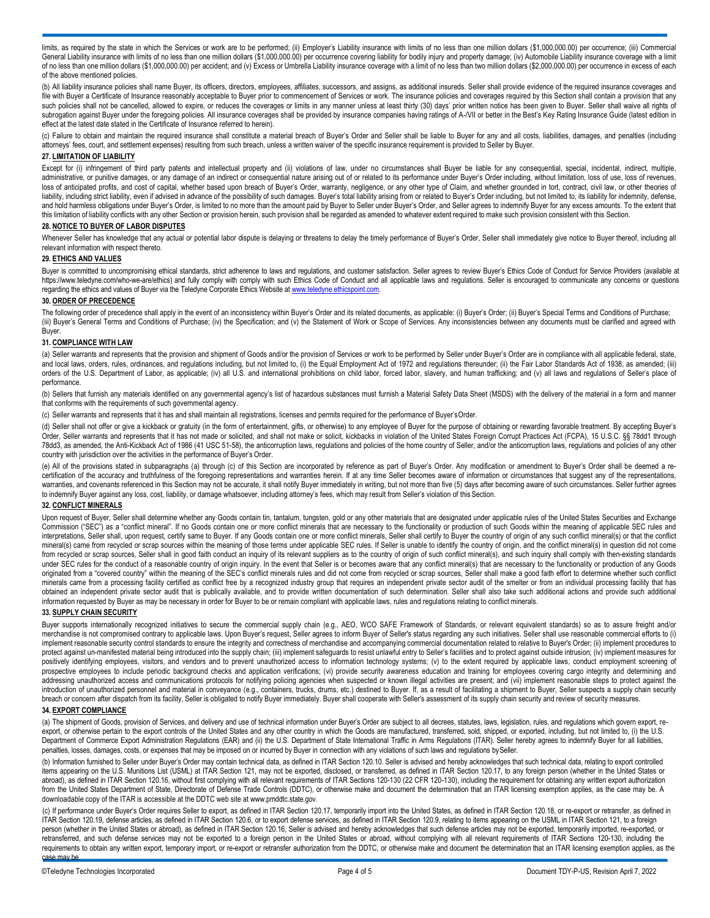limits, as required by the state in which the Services or work are to be performed; (ii) Employer's Liability insurance with limits of no less than one million dollars (\$1,000,000.00) per occurrence; (iii) Commercial General Liability insurance with limits of no less than one million dollars (\$1,000,000.00) per occurrence covering liability for bodily injury and property damage; (iv) Automobile Liability insurance coverage with a limit of no less than one million dollars (\$1,000,000.00) per accident; and (v) Excess or Umbrella Liability insurance coverage with a limit of no less than two million dollars (\$2,000,000.00) per occurrence in excess of each of the above mentioned policies.

(b) All liability insurance policies shall name Buyer, its officers, directors, employees, affiliates, successors, and assigns, as additional insureds. Seller shall provide evidence of the required insurance coverages and file with Buyer a Certificate of Insurance reasonably acceptable to Buyer prior to commencement of Services or work. The insurance policies and coverages required by this Section shall contain a provision that any such policies shall not be cancelled, allowed to expire, or reduces the coverages or limits in any manner unless at least thirty (30) days' prior written notice has been given to Buyer. Seller shall waive all rights of subrogation against Buyer under the foregoing policies. All insurance coverages shall be provided by insurance companies having ratings of A-/VII or better in the Best's Key Rating Insurance Guide (latest edition in effect at the latest date stated in the Certificate of Insurance referred to herein).

(c) Failure to obtain and maintain the required insurance shall constitute a material breach of Buyer's Order and Seller shall be liable to Buyer for any and all costs, liabilities, damages, and penalties (including attorneys' fees, court, and settlement expenses) resulting from such breach, unless a written waiver of the specific insurance requirement is provided to Seller by Buyer.

#### **27. LIMITATION OF LIABILITY**

Except for (i) infringement of third party patents and intellectual property and (ii) violations of law, under no circumstances shall Buyer be liable for any consequential, special, incidental, indirect, multiple, administrative, or punitive damages, or any damage of an indirect or consequential nature arising out of or related to its performance under Buyer's Order including, without limitation, loss of use, loss of revenues, loss of anticipated profits, and cost of capital, whether based upon breach of Buyer's Order, warranty, negligence, or any other type of Claim, and whether grounded in tort, contract, civil law, or other theories of liability, including strict liability, even if advised in advance of the possibility of such damages. Buyer's total liability arising from or related to Buyer's Order including, but not limited to, its liability for indemn and hold harmless obligations under Buyer's Order, is limited to no more than the amount paid by Buyer to Seller under Buyer's Order, and Seller agrees to indemnify Buyer for any excess amounts. To the extent that this limitation of liability conflicts with any other Section or provision herein, such provision shall be regarded as amended to whatever extent required to make such provision consistent with this Section.

#### **28. NOTICE TO BUYER OF LABOR DISPUTES**

Whenever Seller has knowledge that any actual or potential labor dispute is delaying or threatens to delay the timely performance of Buyer's Order, Seller shall immediately give notice to Buyer thereof, including all relevant information with respect thereto.

#### **29. ETHICS AND VALUES**

Buyer is committed to uncompromising ethical standards, strict adherence to laws and regulations, and customer satisfaction. Seller agrees to review Buyer's Ethics Code of Conduct for Service Providers (available at <https://www.teledyne.com/who-we-are/ethics>) and fully comply with comply with such Ethics Code of Conduct and all applicable laws and regulations. Seller is encouraged to communicate any concerns or questions regarding the ethics and values of Buyer via the Teledyne Corporate Ethics Website at [www.teledyne.ethicspoint.com.](http://www.teledyne.ethicspoint.com/) 

#### **30. ORDER OF PRECEDENCE**

The following order of precedence shall apply in the event of an inconsistency within Buyer's Order and its related documents, as applicable: (i) Buyer's Order; (ii) Buyer's Special Terms and Conditions of Purchase; (iii) Buyer's General Terms and Conditions of Purchase; (iv) the Specification; and (v) the Statement of Work or Scope of Services. Any inconsistencies between any documents must be clarified and agreed with Buyer.

#### **31. COMPLIANCE WITH LAW**

(a) Seller warrants and represents that the provision and shipment of Goods and/or the provision of Services or work to be performed by Seller under Buyer's Order are in compliance with all applicable federal, state, and local laws, orders, rules, ordinances, and regulations including, but not limited to, (i) the Equal Employment Act of 1972 and regulations thereunder; (ii) the Fair Labor Standards Act of 1938, as amended; (iii) orders of the U.S. Department of Labor, as applicable; (iv) all U.S. and international prohibitions on child labor, forced labor, slavery, and human trafficking; and (v) all laws and regulations of Seller's place of performance.

(b) Sellers that furnish any materials identified on any governmental agency's list of hazardous substances must furnish a Material Safety Data Sheet (MSDS) with the delivery of the material in a form and manner that conforms with the requirements of such governmental agency.

(c) Seller warrants and represents that it has and shall maintain all registrations, licenses and permits required for the performance of Buyer'sOrder.

(d) Seller shall not offer or give a kickback or gratuity (in the form of entertainment, gifts, or otherwise) to any employee of Buyer for the purpose of obtaining or rewarding favorable treatment. By accepting Buyer's Order, Seller warrants and represents that it has not made or solicited, and shall not make or solicit, kickbacks in violation of the United States Foreign Corrupt Practices Act (FCPA), 15 U.S.C. §§ 78dd1 through 78dd3, as amended, the Anti-Kickback Act of 1986 (41 USC 51-58), the anticorruption laws, regulations and policies of the home country of Seller, and/or the anticorruption laws, regulations and policies of any other country with jurisdiction over the activities in the performance of Buyer's Order.

(e) All of the provisions stated in subparagraphs (a) through (c) of this Section are incorporated by reference as part of Buyer's Order. Any modification or amendment to Buyer's Order shall be deemed a recertification of the accuracy and truthfulness of the foregoing representations and warranties herein. If at any time Seller becomes aware of information or circumstances that suggest any of the representations, warranties, and covenants referenced in this Section may not be accurate, it shall notify Buyer immediately in writing, but not more than five (5) days after becoming aware of such circumstances. Seller further agrees to indemnify Buyer against any loss, cost, liability, or damage whatsoever, including attorney's fees, which may result from Seller's violation of this Section.

#### **32. CONFLICT MINERALS**

Upon request of Buyer, Seller shall determine whether any Goods contain tin, tantalum, tungsten, gold or any other materials that are designated under applicable rules of the United States Securities and Exchange Commission ("SEC") as a "conflict mineral". If no Goods contain one or more conflict minerals that are necessary to the functionality or production of such Goods within the meaning of applicable SEC rules and interpretations, Seller shall, upon request, certify same to Buyer. If any Goods contain one or more conflict minerals, Seller shall certify to Buyer the country of origin of any such conflict mineral(s) or that the confli mineral(s) came from recycled or scrap sources within the meaning of those terms under applicable SEC rules. If Seller is unable to identify the country of origin, and the conflict mineral(s) in question did not come from recycled or scrap sources, Seller shall in good faith conduct an inquiry of its relevant suppliers as to the country of origin of such conflict mineral(s), and such inquiry shall comply with then-existing standards under SEC rules for the conduct of a reasonable country of origin inquiry. In the event that Seller is or becomes aware that any conflict mineral(s) that are necessary to the functionality or production of any Goods originated from a "covered country" within the meaning of the SEC's conflict minerals rules and did not come from recycled or scrap sources, Seller shall make a good faith effort to determine whether such conflict minerals came from a processing facility certified as conflict free by a recognized industry group that requires an independent private sector audit of the smelter or from an individual processing facility that has obtained an independent private sector audit that is publically available, and to provide written documentation of such determination. Seller shall also take such additional actions and provide such additional information requested by Buyer as may be necessary in order for Buyer to be or remain compliant with applicable laws, rules and regulations relating to conflict minerals.

## **33. SUPPLY CHAIN SECURITY**

Buyer supports internationally recognized initiatives to secure the commercial supply chain (e.g., AEO, WCO SAFE Framework of Standards, or relevant equivalent standards) so as to assure freight and/or merchandise is not compromised contrary to applicable laws. Upon Buyer's request, Seller agrees to inform Buyer of Seller's status regarding any such initiatives. Seller shall use reasonable commercial efforts to (i) implement reasonable security control standards to ensure the integrity and correctness of merchandise and accompanying commercial documentation related to relative to Buyer's Order; (ii) implement procedures to protect against un-manifested material being introduced into the supply chain; (iii) implement safeguards to resist unlawful entry to Seller's facilities and to protect against outside intrusion; (iv) implement measures fo positively identifying employees, visitors, and vendors and to prevent unauthorized access to information technology systems; (v) to the extent required by applicable laws, conduct employment screening of prospective employees to include periodic background checks and application verifications; (vi) provide security awareness education and training for employees covering cargo integrity and determining and addressing unauthorized access and communications protocols for notifying policing agencies when suspected or known illegal activities are present; and (vii) implement reasonable steps to protect against the introduction of unauthorized personnel and material in conveyance (e.g., containers, trucks, drums, etc.) destined to Buyer. If, as a result of facilitating a shipment to Buyer, Seller suspects a supply chain security breach or concern after dispatch from its facility, Seller is obligated to notify Buyer immediately. Buyer shall cooperate with Seller's assessment of its supply chain security and review of security measures.

## **34. EXPORT COMPLIANCE**

(a) The shipment of Goods, provision of Services, and delivery and use of technical information under Buyer's Order are subject to all decrees, statutes, laws, legislation, rules, and regulations which govern export, reexport, or otherwise pertain to the export controls of the United States and any other country in which the Goods are manufactured, transferred, sold, shipped, or exported, including, but not limited to, (i) the U.S. Department of Commerce Export Administration Regulations (EAR) and (ii) the U.S. Department of State International Traffic in Arms Regulations (ITAR). Seller hereby agrees to indemnify Buyer for all liabilities, penalties, losses, damages, costs, or expenses that may be imposed on or incurred by Buyer in connection with any violations of such laws and regulations bySeller.

(b) Information furnished to Seller under Buyer's Order may contain technical data, as defined in ITAR Section 120.10. Seller is advised and hereby acknowledges that such technical data, relating to export controlled items appearing on the U.S. Munitions List (USML) at ITAR Section 121, may not be exported, disclosed, or transferred, as defined in ITAR Section 120.17, to any foreign person (whether in the United States or abroad), as defined in ITAR Section 120.16, without first complying with all relevant requirements of ITAR Sections 120-130 (22 CFR 120-130), including the requirement for obtaining any written export authorization from the United States Department of State, Directorate of Defense Trade Controls (DDTC), or otherwise make and document the determination that an ITAR licensing exemption applies, as the case may be. A downloadable copy of the ITAR is accessible at the DDTC web site at [www.pmddtc.state.gov.](http://www.pmddtc.state.gov/) 

(c) If performance under Buyer's Order requires Seller to export, as defined in ITAR Section 120.17, temporarily import into the United States, as defined in ITAR Section 120.18, or re-export or retransfer, as defined in ITAR Section 120.19, defense articles, as defined in ITAR Section 120.6, or to export defense services, as defined in ITAR Section 120.9, relating to items appearing on the USML in ITAR Section 121, to a foreign person (whether in the United States or abroad), as defined in ITAR Section 120.16, Seller is advised and hereby acknowledges that such defense articles may not be exported, temporarily imported, re-exported, re-exported, retransferred, and such defense services may not be exported to a foreign person in the United States or abroad, without complying with all relevant requirements of ITAR Sections 120-130, including the requirements to obtain any written export, temporary import, or re-export or retransfer authorization from the DDTC, or otherwise make and document the determination that an ITAR licensing exemption applies, as the case may be.